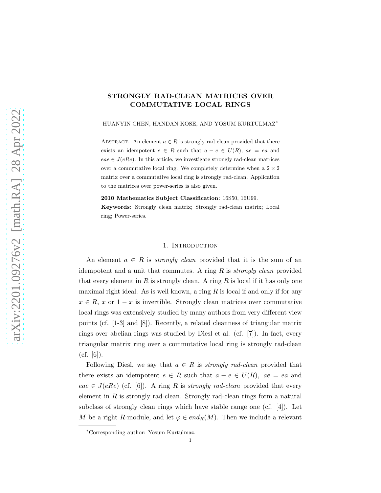### STRONGLY RAD-CLEAN MATRICES OVER COMMUTATIVE LOCAL RINGS

HUANYIN CHEN, HANDAN KOSE, AND YOSUM KURTULMAZ<sup>∗</sup>

ABSTRACT. An element  $a \in R$  is strongly rad-clean provided that there exists an idempotent  $e \in R$  such that  $a - e \in U(R)$ ,  $ae = ea$  and  $eae \in J(eRe)$ . In this article, we investigate strongly rad-clean matrices over a commutative local ring. We completely determine when a  $2 \times 2$ matrix over a commutative local ring is strongly rad-clean. Application to the matrices over power-series is also given.

2010 Mathematics Subject Classification: 16S50, 16U99.

Keywords: Strongly clean matrix; Strongly rad-clean matrix; Local ring; Power-series.

### 1. Introduction

An element  $a \in R$  is *strongly clean* provided that it is the sum of an idempotent and a unit that commutes. A ring R is *strongly clean* provided that every element in R is strongly clean. A ring R is local if it has only one maximal right ideal. As is well known, a ring  $R$  is local if and only if for any  $x \in R$ , x or  $1 - x$  is invertible. Strongly clean matrices over commutative local rings was extensively studied by many authors from very different view points (cf. [1-3] and [8]). Recently, a related cleanness of triangular matrix rings over abelian rings was studied by Diesl et al. (cf. [7]). In fact, every triangular matrix ring over a commutative local ring is strongly rad-clean  $(cf. |6|).$ 

Following Diesl, we say that  $a \in R$  is *strongly rad-clean* provided that there exists an idempotent  $e \in R$  such that  $a - e \in U(R)$ ,  $ae = ea$  and  $eae \in J(eRe)$  (cf. [6]). A ring R is *strongly rad-clean* provided that every element in  $R$  is strongly rad-clean. Strongly rad-clean rings form a natural subclass of strongly clean rings which have stable range one  $(cf. [4])$ . Let M be a right R-module, and let  $\varphi \in end_R(M)$ . Then we include a relevant

<sup>∗</sup>Corresponding author: Yosum Kurtulmaz.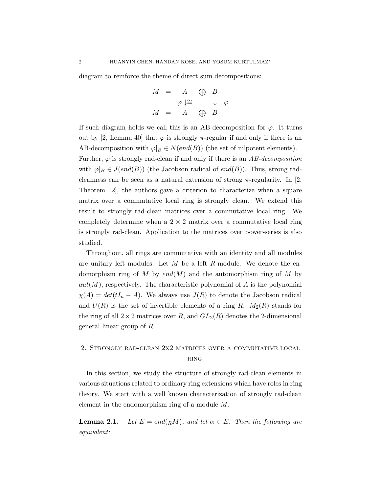diagram to reinforce the theme of direct sum decompositions:

$$
M = A \oplus B
$$
  

$$
\varphi \downarrow \cong \qquad \downarrow \varphi
$$
  

$$
M = A \oplus B
$$

If such diagram holds we call this is an AB-decomposition for  $\varphi$ . It turns out by [2, Lemma 40] that  $\varphi$  is strongly  $\pi$ -regular if and only if there is an AB-decomposition with  $\varphi|_B \in N(\mathit{end}(B))$  (the set of nilpotent elements). Further,  $\varphi$  is strongly rad-clean if and only if there is an *AB-decomposition* with  $\varphi|_B \in J(\text{end}(B))$  (the Jacobson radical of end(B)). Thus, strong radcleanness can be seen as a natural extension of strong  $\pi$ -regularity. In [2, Theorem 12], the authors gave a criterion to characterize when a square matrix over a commutative local ring is strongly clean. We extend this result to strongly rad-clean matrices over a commutative local ring. We completely determine when a  $2 \times 2$  matrix over a commutative local ring is strongly rad-clean. Application to the matrices over power-series is also studied.

Throughout, all rings are commutative with an identity and all modules are unitary left modules. Let  $M$  be a left  $R$ -module. We denote the endomorphism ring of M by end(M) and the automorphism ring of M by  $aut(M)$ , respectively. The characteristic polynomial of A is the polynomial  $\chi(A) = det(tI_n - A)$ . We always use  $J(R)$  to denote the Jacobson radical and  $U(R)$  is the set of invertible elements of a ring R.  $M_2(R)$  stands for the ring of all  $2 \times 2$  matrices over R, and  $GL_2(R)$  denotes the 2-dimensional general linear group of R.

# 2. Strongly rad-clean 2x2 matrices over a commutative local RING

In this section, we study the structure of strongly rad-clean elements in various situations related to ordinary ring extensions which have roles in ring theory. We start with a well known characterization of strongly rad-clean element in the endomorphism ring of a module M.

<span id="page-1-0"></span>**Lemma 2.1.** *Let*  $E = end(RM)$ *, and let*  $\alpha \in E$ *. Then the following are equivalent:*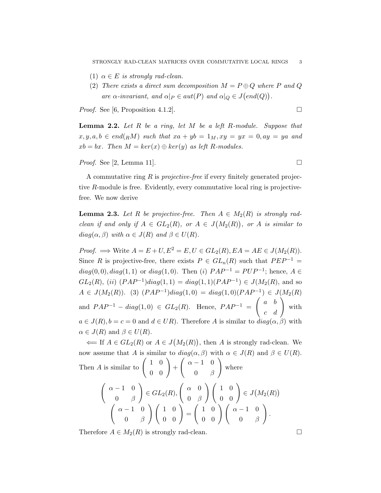- (1)  $\alpha \in E$  *is strongly rad-clean.*
- (2) *There exists a direct sum decomposition*  $M = P \oplus Q$  *where* P and Q *are*  $\alpha$ -*invariant, and*  $\alpha|_P \in aut(P)$  *and*  $\alpha|_Q \in J(end(Q)).$

*Proof.* See [6, Proposition 4.1.2]. □

<span id="page-2-1"></span>Lemma 2.2. *Let* R *be a ring, let* M *be a left* R*-module. Suppose that*  $x, y, a, b \in end({}_R M)$  *such that*  $xa + yb = 1_M, xy = yx = 0, ay = ya$  and  $xb = bx$ . Then  $M = ker(x) \oplus ker(y)$  as left R-modules.

*Proof.* See [2, Lemma 11].

A commutative ring R is *projective-free* if every finitely generated projective R-module is free. Evidently, every commutative local ring is projectivefree. We now derive

<span id="page-2-0"></span>**Lemma 2.3.** Let R be projective-free. Then  $A \in M_2(R)$  is strongly rad*clean if and only if*  $A \in GL_2(R)$ *, or*  $A \in J(M_2(R))$ *, or*  $A$  *is similar to*  $diag(\alpha, \beta)$  *with*  $\alpha \in J(R)$  *and*  $\beta \in U(R)$ *.* 

 $Proof. \implies$  Write  $A = E + U, E^2 = E, U \in GL_2(R), EA = AE \in J(M_2(R)).$ Since R is projective-free, there exists  $P \in GL_n(R)$  such that  $PEP^{-1} =$  $diag(0,0), diag(1,1)$  or  $diag(1,0)$ . Then (i)  $PAP^{-1} = PUP^{-1}$ ; hence,  $A \in$  $GL_2(R)$ , (ii)  $(PAP^{-1})diag(1,1) = diag(1,1)(PAP^{-1}) \in J(M_2(R))$ , and so  $A \in J(M_2(R))$ . (3)  $(PAP^{-1})diag(1,0) = diag(1,0)(PAP^{-1}) \in J(M_2(R))$ and  $PAP^{-1} - diag(1,0) \in GL_2(R)$ . Hence,  $PAP^{-1} =$  $\left(\begin{array}{cc} a & b \\ c & d \end{array}\right)$ with  $a \in J(R)$ ,  $b = c = 0$  and  $d \in UR$ . Therefore A is similar to  $diag(\alpha, \beta)$  with  $\alpha \in J(R)$  and  $\beta \in U(R)$ .

 $\Leftarrow$  If  $A \in GL_2(R)$  or  $A \in J(M_2(R))$ , then A is strongly rad-clean. We now assume that A is similar to  $diag(\alpha, \beta)$  with  $\alpha \in J(R)$  and  $\beta \in U(R)$ . Then *A* is similar to  $\begin{pmatrix} 1 & 0 \\ 0 & 0 \end{pmatrix}$  $^{+}$  $\begin{pmatrix} \alpha-1 & 0 \end{pmatrix}$  $0 \beta$ ! where

$$
\begin{pmatrix}\n\alpha - 1 & 0 \\
0 & \beta\n\end{pmatrix} \in GL_2(R), \begin{pmatrix}\n\alpha & 0 \\
0 & \beta\n\end{pmatrix} \begin{pmatrix}\n1 & 0 \\
0 & 0\n\end{pmatrix} \in J(M_2(R))
$$
  

$$
\begin{pmatrix}\n\alpha - 1 & 0 \\
0 & \beta\n\end{pmatrix} \begin{pmatrix}\n1 & 0 \\
0 & 0\n\end{pmatrix} = \begin{pmatrix}\n1 & 0 \\
0 & 0\n\end{pmatrix} \begin{pmatrix}\n\alpha - 1 & 0 \\
0 & \beta\n\end{pmatrix}.
$$

Therefore  $A \in M_2(R)$  is strongly rad-clean.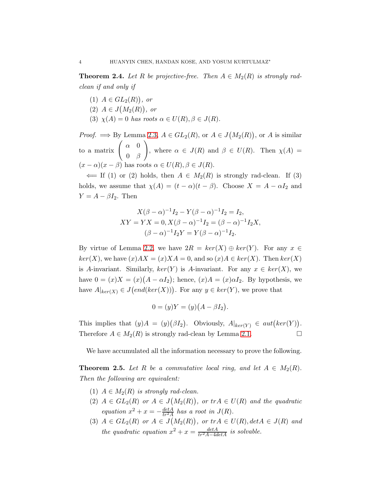<span id="page-3-0"></span>**Theorem 2.4.** Let R be projective-free. Then  $A \in M_2(R)$  is strongly rad*clean if and only if*

 $(1)$   $A \in GL_2(R)$ , or (2)  $A \in J(M_2(R))$ , or (3)  $\chi(A) = 0$  *has roots*  $\alpha \in U(R), \beta \in J(R)$ .

*Proof.*  $\implies$  By Lemma [2.3,](#page-2-0)  $A \in GL_2(R)$ , or  $A \in J(M_2(R))$ , or A is similar to a matrix  $\begin{pmatrix} \alpha & 0 \\ 0 & 0 \end{pmatrix}$  $0 \quad \beta$ ! , where  $\alpha \in J(R)$  and  $\beta \in U(R)$ . Then  $\chi(A)$  =  $(x - \alpha)(x - \beta)$  has roots  $\alpha \in U(R), \beta \in J(R)$ .

 $\Leftarrow$  If (1) or (2) holds, then  $A \in M_2(R)$  is strongly rad-clean. If (3) holds, we assume that  $\chi(A) = (t - \alpha)(t - \beta)$ . Choose  $X = A - \alpha I_2$  and  $Y = A - \beta I_2$ . Then

$$
X(\beta - \alpha)^{-1}I_2 - Y(\beta - \alpha)^{-1}I_2 = I_2,
$$
  
\n
$$
XY = YX = 0, X(\beta - \alpha)^{-1}I_2 = (\beta - \alpha)^{-1}I_2X,
$$
  
\n
$$
(\beta - \alpha)^{-1}I_2Y = Y(\beta - \alpha)^{-1}I_2.
$$

By virtue of Lemma [2.2,](#page-2-1) we have  $2R = \text{ker}(X) \oplus \text{ker}(Y)$ . For any  $x \in$  $ker(X)$ , we have  $(x)AX = (x)XA = 0$ , and so  $(x)A \in ker(X)$ . Then  $ker(X)$ is A-invariant. Similarly,  $ker(Y)$  is A-invariant. For any  $x \in ker(X)$ , we have  $0 = (x)X = (x)(A - \alpha I_2)$ ; hence,  $(x)A = (x)\alpha I_2$ . By hypothesis, we have  $A|_{\text{ker}(X)} \in J\big(\text{end}(\text{ker}(X))\big)$ . For any  $y \in \text{ker}(Y)$ , we prove that

$$
0 = (y)Y = (y)(A - \beta I_2).
$$

This implies that  $(y)A = (y)(\beta I_2)$ . Obviously,  $A|_{\text{ker}(Y)} \in \text{aut}(\text{ker}(Y))$ . Therefore  $A \in M_2(R)$  is strongly rad-clean by Lemma [2.1.](#page-1-0)

We have accumulated all the information necessary to prove the following.

<span id="page-3-1"></span>**Theorem 2.5.** Let R be a commutative local ring, and let  $A \in M_2(R)$ . *Then the following are equivalent:*

- (1)  $A \in M_2(R)$  *is strongly rad-clean.*
- (2)  $A \in GL_2(R)$  *or*  $A \in J(M_2(R))$ *, or*  $tr A \in U(R)$  *and the quadratic equation*  $x^2 + x = -\frac{detA}{tr^2A}$  *has a root in*  $J(R)$ *.*
- (3)  $A \in GL_2(R)$  *or*  $A \in J(M_2(R))$ , *or*  $trA \in U(R)$ ,  $detA \in J(R)$  *and* the quadratic equation  $x^2 + x = \frac{det A}{tr^2 A - 4det A}$  *is solvable.*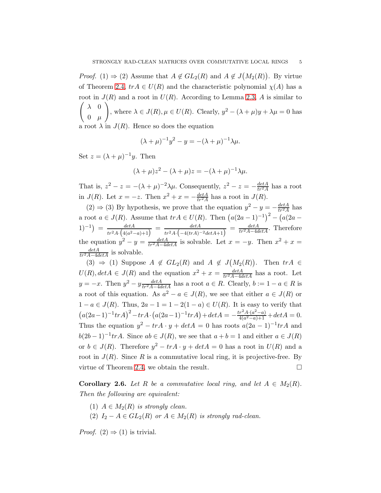*Proof.* (1)  $\Rightarrow$  (2) Assume that  $A \notin GL_2(R)$  and  $A \notin J(M_2(R))$ . By virtue of Theorem [2.4,](#page-3-0)  $tr A \in U(R)$  and the characteristic polynomial  $\chi(A)$  has a root in  $J(R)$  and a root in  $U(R)$ . According to Lemma [2.3,](#page-2-0) A is similar to  $\left( \lambda \right)$  $0$   $\mu$  $\Delta$ , where  $\lambda \in J(R)$ ,  $\mu \in U(R)$ . Clearly,  $y^2 - (\lambda + \mu)y + \lambda \mu = 0$  has a root  $\lambda$  in  $J(R)$ . Hence so does the equation

$$
(\lambda + \mu)^{-1} y^2 - y = -(\lambda + \mu)^{-1} \lambda \mu.
$$

Set  $z = (\lambda + \mu)^{-1}y$ . Then

$$
(\lambda + \mu)z^2 - (\lambda + \mu)z = -(\lambda + \mu)^{-1}\lambda\mu.
$$

That is,  $z^2 - z = -(\lambda + \mu)^{-2} \lambda \mu$ . Consequently,  $z^2 - z = -\frac{detA}{tr^2A}$  has a root in  $J(R)$ . Let  $x = -z$ . Then  $x^2 + x = -\frac{detA}{tr^2A}$  has a root in  $J(R)$ .

 $(2) \Rightarrow (3)$  By hypothesis, we prove that the equation  $y^2 - y = -\frac{det A}{tr^2 A}$  has  $tr^2A$ a root  $a \in J(R)$ . Assume that  $tr A \in U(R)$ . Then  $(a(2a-1)^{-1})^2 - (a(2a-1))^2$  $(1)^{-1}$  =  $\frac{detA}{tr^2A \cdot (4(a^2-a)+1)} = \frac{detA}{tr^2A \cdot (-4(trA)^{-2}detA+1)} = \frac{detA}{tr^2A-4detA}$ . Therefore the equation  $y^2 - y = \frac{detA}{tr^2A-4detA}$  is solvable. Let  $x = -y$ . Then  $x^2 + x =$  $\frac{detA}{tr^2A-4detA}$  is solvable.

(3)  $\Rightarrow$  (1) Suppose  $A \not\in GL_2(R)$  and  $A \not\in J(M_2(R))$ . Then  $trA \in$  $U(R)$ ,  $det A \in J(R)$  and the equation  $x^2 + x = \frac{det A}{tr^2 A - 4det A}$  has a root. Let  $y = -x$ . Then  $y^2 - y \frac{det A}{tr^2 A - 4det A}$  has a root  $a \in R$ . Clearly,  $b := 1 - a \in R$  is a root of this equation. As  $a^2 - a \in J(R)$ , we see that either  $a \in J(R)$  or  $1 - a \in J(R)$ . Thus,  $2a - 1 = 1 - 2(1 - a) \in U(R)$ . It is easy to verify that  $(a(2a-1)^{-1}trA)^2-trA\cdot (a(2a-1)^{-1}trA)+detA=-\frac{tr^2A\cdot (a^2-a)}{4(a^2-a)+1}$  $\frac{d^{r}A^{r}(a-a)}{4(a^{2}-a)+1} + det A = 0.$ Thus the equation  $y^2 - trA \cdot y + detA = 0$  has roots  $a(2a - 1)^{-1} trA$  and  $b(2b-1)^{-1}trA$ . Since  $ab \in J(R)$ , we see that  $a+b=1$  and either  $a \in J(R)$ or  $b \in J(R)$ . Therefore  $y^2 - trA \cdot y + detA = 0$  has a root in  $U(R)$  and a root in  $J(R)$ . Since R is a commutative local ring, it is projective-free. By virtue of Theorem [2.4,](#page-3-0) we obtain the result.  $\Box$ 

**Corollary 2.6.** *Let* R *be a commutative local ring, and let*  $A \in M_2(R)$ *. Then the following are equivalent:*

(1)  $A \in M_2(R)$  *is strongly clean.* (2)  $I_2 - A \in GL_2(R)$  *or*  $A \in M_2(R)$  *is strongly rad-clean.* 

*Proof.*  $(2) \Rightarrow (1)$  is trivial.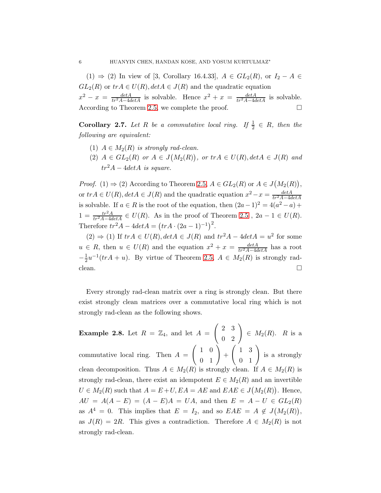$(1) \Rightarrow (2)$  In view of [3, Corollary 16.4.33],  $A \in GL_2(R)$ , or  $I_2 - A \in$  $GL_2(R)$  or  $tr A \in U(R)$ ,  $det A \in J(R)$  and the quadratic equation  $x^2 - x = \frac{detA}{tr^2A - 4detA}$  is solvable. Hence  $x^2 + x = \frac{detA}{tr^2A - 4detA}$  is solvable. According to Theorem [2.5,](#page-3-1) we complete the proof.

<span id="page-5-0"></span>**Corollary 2.7.** Let R be a commutative local ring. If  $\frac{1}{2} \in R$ , then the *following are equivalent:*

- (1)  $A \in M_2(R)$  *is strongly rad-clean.*
- (2)  $A \in GL_2(R)$  *or*  $A \in J(M_2(R))$ *, or*  $tr A \in U(R)$ *, det* $A \in J(R)$  *and*  $tr<sup>2</sup>A - 4detA$  *is square.*

*Proof.* (1)  $\Rightarrow$  (2) According to Theorem [2.5,](#page-3-1)  $A \in GL_2(R)$  or  $A \in J(M_2(R))$ , or  $tr A \in U(R)$ ,  $det A \in J(R)$  and the quadratic equation  $x^2 - x = \frac{det A}{tr^2 A - 4det A}$ is solvable. If  $a \in R$  is the root of the equation, then  $(2a-1)^2 = 4(a^2 - a) +$  $1 = \frac{tr^2A}{tr^2A-4detA} \in U(R)$ . As in the proof of Theorem [2.5](#page-3-1),  $2a - 1 \in U(R)$ . Therefore  $tr^2 A - 4 det A = (tr A \cdot (2a - 1)^{-1})^2$ .

 $(2) \Rightarrow (1)$  If  $tr A \in U(R)$ ,  $det A \in J(R)$  and  $tr^2 A - 4det A = u^2$  for some  $u \in R$ , then  $u \in U(R)$  and the equation  $x^2 + x = \frac{det A}{tr^2 A - 4det A}$  has a root  $-\frac{1}{2}$  $\frac{1}{2}u^{-1}(trA + u)$ . By virtue of Theorem [2.5,](#page-3-1)  $A \in M_2(R)$  is strongly radclean.

Every strongly rad-clean matrix over a ring is strongly clean. But there exist strongly clean matrices over a commutative local ring which is not strongly rad-clean as the following shows.

**Example 2.8.** Let  $R = \mathbb{Z}_4$ , and let  $A =$  $\left(\begin{array}{cc} 2 & 3 \\ 0 & 2 \end{array}\right)$  $\in M_2(R)$ . R is a commutative local ring. Then  $A =$  $\left(\begin{array}{cc} 1 & 0 \\ 0 & 1 \end{array}\right)$  $+$  $\left(\begin{array}{cc} 1 & 3 \\ 0 & 1 \end{array}\right)$ is a strongly clean decomposition. Thus  $A \in M_2(R)$  is strongly clean. If  $A \in M_2(R)$  is strongly rad-clean, there exist an idempotent  $E \in M_2(R)$  and an invertible  $U \in M_2(R)$  such that  $A = E + U$ ,  $EA = AE$  and  $EAE \in J(M_2(R))$ . Hence,  $AU = A(A - E) = (A - E)A = UA$ , and then  $E = A - U \in GL<sub>2</sub>(R)$ as  $A^4 = 0$ . This implies that  $E = I_2$ , and so  $EAE = A \notin J(M_2(R)),$ as  $J(R) = 2R$ . This gives a contradiction. Therefore  $A \in M_2(R)$  is not strongly rad-clean.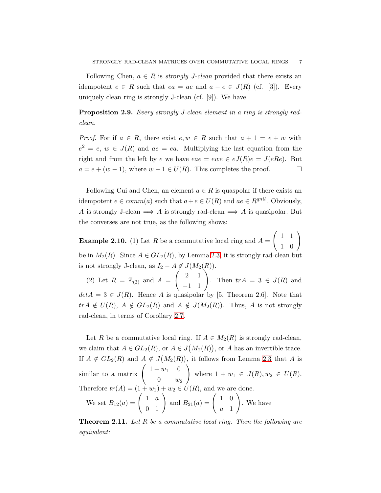Following Chen,  $a \in R$  is *strongly J-clean* provided that there exists an idempotent  $e \in R$  such that  $ea = ae$  and  $a - e \in J(R)$  (cf. [3]). Every uniquely clean ring is strongly J-clean (cf. [9]). We have

Proposition 2.9. *Every strongly J-clean element in a ring is strongly radclean.*

*Proof.* For if  $a \in R$ , there exist  $e, w \in R$  such that  $a + 1 = e + w$  with  $e^2 = e, w \in J(R)$  and  $ae = ea$ . Multiplying the last equation from the right and from the left by e we have  $eae = ewe \in eJ(R)e = J(eRe)$ . But  $a = e + (w - 1)$ , where  $w - 1 \in U(R)$ . This completes the proof.

Following Cui and Chen, an element  $a \in R$  is quaspolar if there exists an idempotent  $e \in comm(a)$  such that  $a + e \in U(R)$  and  $ae \in R^{qnil}$ . Obviously, A is strongly J-clean  $\implies$  A is strongly rad-clean  $\implies$  A is quasipolar. But the converses are not true, as the following shows:

**Example 2.10.** (1) Let R be a commutative local ring and  $A =$  $\left(\begin{array}{cc} 1 & 1 \\ 1 & 0 \end{array}\right)$ be in  $M_2(R)$ . Since  $A \in GL_2(R)$ , by Lemma [2.3,](#page-2-0) it is strongly rad-clean but is not strongly J-clean, as  $I_2 - A \notin J(M_2(R))$ .

(2) Let  $R = \mathbb{Z}_{(3)}$  and  $A =$  $\left(\begin{array}{cc} 2 & 1 \\ -1 & 1 \end{array}\right)$ . Then  $tr A = 3 \in J(R)$  and  $det A = 3 \in J(R)$ . Hence A is quasipolar by [5, Theorem 2.6]. Note that  $tr A \notin U(R)$ ,  $A \notin GL_2(R)$  and  $A \notin J(M_2(R))$ . Thus, A is not strongly rad-clean, in terms of Corollary [2.7.](#page-5-0)

Let R be a commutative local ring. If  $A \in M_2(R)$  is strongly rad-clean, we claim that  $A \in GL_2(R)$ , or  $A \in J(M_2(R))$ , or A has an invertible trace. If  $A \notin GL_2(R)$  and  $A \notin J(M_2(R))$ , it follows from Lemma [2.3](#page-2-0) that A is similar to a matrix  $\begin{pmatrix} 1+w_1 & 0 \\ 0 & w_2 & 0 \\ 0 & 0 & 0 \end{pmatrix}$  $0 \qquad w_2$  $\setminus$ where  $1 + w_1 \in J(R), w_2 \in U(R)$ . Therefore  $tr(A) = (1 + w_1) + w_2 \in U(R)$ , and we are done. We set  $B_{12}(a) = \begin{pmatrix} 1 & a \\ 0 & 1 \end{pmatrix}$  and  $B_{21}(a) = \begin{pmatrix} 1 & 0 \\ a & 1 \end{pmatrix}$ a 1  $\setminus$ . We have

<span id="page-6-0"></span>Theorem 2.11. *Let* R *be a commutative local ring. Then the following are equivalent:*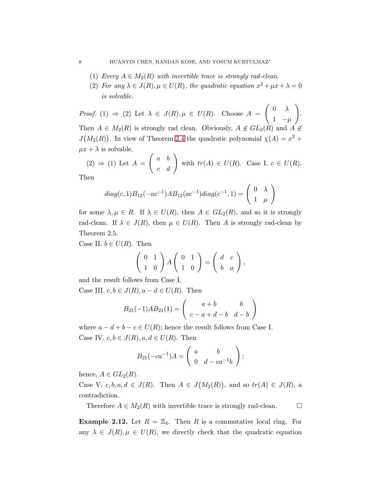- (1) *Every*  $A \in M_2(R)$  *with invertible trace is strongly rad-clean.*
- (2) *For any*  $\lambda \in J(R)$ ,  $\mu \in U(R)$ , the quadratic equation  $x^2 + \mu x + \lambda = 0$ *is solvable.*

*Proof.* (1)  $\Rightarrow$  (2) Let  $\lambda \in J(R), \mu \in U(R)$ . Choose  $A =$  $\begin{pmatrix} 0 & \lambda \end{pmatrix}$ 1  $-\mu$  $\setminus$ . Then  $A \in M_2(R)$  is strongly rad clean. Obviously,  $A \notin GL_2(R)$  and  $A \notin$  $J(M_2(R))$ . In view of Theorem [2.4](#page-3-0) the quadratic polynomial  $\chi(A) = x^2 +$  $\mu x + \lambda$  is solvable.

(2) 
$$
\Rightarrow
$$
 (1) Let  $A = \begin{pmatrix} a & b \\ c & d \end{pmatrix}$  with  $tr(A) \in U(R)$ . Case I.  $c \in U(R)$ .

Then

diag(c, 1)B<sub>12</sub>(-ac<sup>-1</sup>)AB<sub>12</sub>(ac<sup>-1</sup>)diag(c<sup>-1</sup>, 1) = 
$$
\begin{pmatrix} 0 & \lambda \\ 1 & \mu \end{pmatrix}
$$

for some  $\lambda, \mu \in R$ . If  $\lambda \in U(R)$ , then  $A \in GL_2(R)$ , and so it is strongly rad-clean. If  $\lambda \in J(R)$ , then  $\mu \in U(R)$ . Then A is strongly rad-clean by Theorem 2.5.

Case II.  $b \in U(R)$ . Then

$$
\left(\begin{array}{cc} 0 & 1 \\ 1 & 0 \end{array}\right) A \left(\begin{array}{cc} 0 & 1 \\ 1 & 0 \end{array}\right) = \left(\begin{array}{cc} d & c \\ b & a \end{array}\right),
$$

and the result follows from Case I.

Case III.  $c, b \in J(R)$ ,  $a - d \in U(R)$ . Then

$$
B_{21}(-1)AB_{21}(1) = \begin{pmatrix} a+b & b \\ c-a+d-b & d-b \end{pmatrix}
$$

where  $a - d + b - c \in U(R)$ ; hence the result follows from Case I. Case IV.  $c, b \in J(R), a, d \in U(R)$ . Then

$$
B_{21}(-ca^{-1})A = \begin{pmatrix} a & b \\ 0 & d - ca^{-1}b \end{pmatrix};
$$

hence,  $A \in GL_2(R)$ .

Case V. c, b, a,  $d \in J(R)$ . Then  $A \in J(M_2(R))$ , and so  $tr(A) \in J(R)$ , a contradiction.

Therefore  $A \in M_2(R)$  with invertible trace is strongly rad-clean.  $\Box$ 

**Example 2.12.** Let  $R = \mathbb{Z}_4$ . Then R is a commutative local ring. For any  $\lambda \in J(R), \mu \in U(R)$ , we directly check that the quadratic equation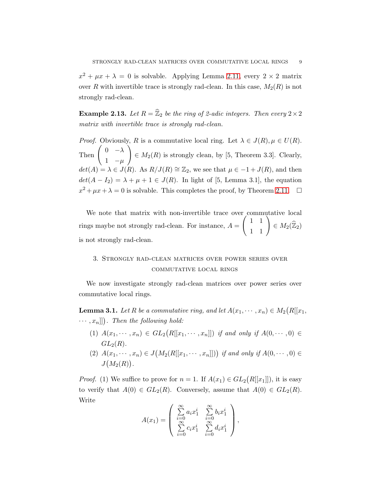$x^2 + \mu x + \lambda = 0$  is solvable. Applying Lemma [2.11,](#page-6-0) every  $2 \times 2$  matrix over R with invertible trace is strongly rad-clean. In this case,  $M_2(R)$  is not strongly rad-clean.

**Example 2.13.** Let  $R = \hat{\mathbb{Z}}_2$  be the ring of 2-adic integers. Then every  $2 \times 2$ *matrix with invertible trace is strongly rad-clean.*

*Proof.* Obviously, R is a commutative local ring. Let  $\lambda \in J(R)$ ,  $\mu \in U(R)$ . Then  $\begin{pmatrix} 0 & -\lambda \\ 1 & 0 \\ 0 & 0 \end{pmatrix}$ 1  $-\mu$  $\setminus$  $\in M_2(R)$  is strongly clean, by [5, Theorem 3.3]. Clearly,  $det(A) = \lambda \in J(R)$ . As  $R/J(R) \cong \mathbb{Z}_2$ , we see that  $\mu \in -1 + J(R)$ , and then  $det(A - I_2) = \lambda + \mu + 1 \in J(R)$ . In light of [5, Lemma 3.1], the equation  $x^2 + \mu x + \lambda = 0$  is solvable. This completes the proof, by Theorem [2.11.](#page-6-0)  $\Box$ 

We note that matrix with non-invertible trace over commutative local rings maybe not strongly rad-clean. For instance,  $A =$  $\begin{pmatrix} 1 & 1 \\ 1 & 1 \end{pmatrix} \in M_2(\widehat{\mathbb{Z}}_2)$ is not strongly rad-clean.

## 3. Strongly rad-clean matrices over power series over commutative local rings

We now investigate strongly rad-clean matrices over power series over commutative local rings.

<span id="page-8-0"></span>**Lemma 3.1.** Let R be a commutative ring, and let  $A(x_1, \dots, x_n) \in M_2(R[[x_1, \dots, x_n]])$  $\cdots$ ,  $x_n$ ]]). Then the following hold:

- (1)  $A(x_1, \dots, x_n)$  ∈  $GL_2(R[[x_1, \dots, x_n]])$  *if and only if*  $A(0, \dots, 0)$  ∈  $GL_2(R)$ .
- (2)  $A(x_1, \dots, x_n) \in J(M_2(R[[x_1, \dots, x_n]]))$  if and only if  $A(0, \dots, 0) \in$  $J(M_2(R))$ .

*Proof.* (1) We suffice to prove for  $n = 1$ . If  $A(x_1) \in GL_2(R[[x_1]])$ , it is easy to verify that  $A(0) \in GL_2(R)$ . Conversely, assume that  $A(0) \in GL_2(R)$ . Write P∞

$$
A(x_1) = \begin{pmatrix} \sum_{i=0}^{\infty} a_i x_1^i & \sum_{i=0}^{\infty} b_i x_1^i \\ \sum_{i=0}^{\infty} c_i x_1^i & \sum_{i=0}^{\infty} d_i x_1^i \end{pmatrix},
$$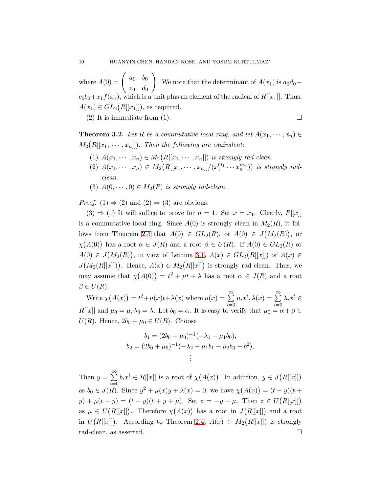where  $A(0) = \begin{pmatrix} a_0 & b_0 \end{pmatrix}$  $c_0$  d<sub>0</sub> ! . We note that the determinant of  $A(x_1)$  is  $a_0d_0$  $c_0b_0+x_1f(x_1)$ , which is a unit plus an element of the radical of  $R[[x_1]]$ . Thus,  $A(x_1) \in GL_2(R[[x_1]])$ , as required.

(2) It is immediate from (1). 
$$
\Box
$$

**Theorem 3.2.** Let R be a commutative local ring, and let  $A(x_1, \dots, x_n) \in$  $M_2(R[[x_1, \cdots, x_n]])$ . Then the following are equivalent:

- (1)  $A(x_1, \dots, x_n) \in M_2(R[[x_1, \dots, x_n]])$  *is strongly rad-clean.*
- (2)  $A(x_1, \dots, x_n) \in M_2(R[[x_1, \dots, x_n]]/(x_1^{m_1}))$  $\binom{m_1}{1} \cdots x_n^{m_n}$ ) *is strongly radclean.*
- (3)  $A(0, \dots, 0) \in M_2(R)$  *is strongly rad-clean.*

*Proof.* (1)  $\Rightarrow$  (2) and (2)  $\Rightarrow$  (3) are obvious.

 $(3) \Rightarrow (1)$  It will suffice to prove for  $n = 1$ . Set  $x = x_1$ . Clearly, R[[x]] is a commutative local ring. Since  $A(0)$  is strongly clean in  $M_2(R)$ , it fol-lows from Theorem [2.4](#page-3-0) that  $A(0) \in GL_2(R)$ , or  $A(0) \in J(M_2(R))$ , or  $\chi(A(0))$  has a root  $\alpha \in J(R)$  and a root  $\beta \in U(R)$ . If  $A(0) \in GL_2(R)$  or  $A(0) \in J(M_2(R))$ , in view of Lemma [3.1,](#page-8-0)  $A(x) \in GL_2(R[[x]])$  or  $A(x) \in$  $J(M_2(R[[x]]))$ . Hence,  $A(x) \in M_2(R[[x]])$  is strongly rad-clean. Thus, we may assume that  $\chi(A(0)) = t^2 + \mu t + \lambda$  has a root  $\alpha \in J(R)$  and a root  $\beta \in U(R)$ .

Write  $\chi(A(x)) = t^2 + \mu(x)t + \lambda(x)$  where  $\mu(x) = \sum_{n=0}^{\infty}$  $i=0$  $\mu_i x^i, \lambda(x) = \sum^{\infty}$  $i=0$  $\lambda_ix^i\in$  $R[[x]]$  and  $\mu_0 = \mu, \lambda_0 = \lambda$ . Let  $b_0 = \alpha$ . It is easy to verify that  $\mu_0 = \alpha + \beta \in$  $U(R)$ . Hence,  $2b_0 + \mu_0 \in U(R)$ . Choose

$$
b_1 = (2b_0 + \mu_0)^{-1}(-\lambda_1 - \mu_1 b_0),
$$
  
\n
$$
b_2 = (2b_0 + \mu_0)^{-1}(-\lambda_2 - \mu_1 b_1 - \mu_2 b_0 - b_1^2),
$$
  
\n
$$
\vdots
$$

Then  $y = \sum^{\infty}$  $i=0$  $b_ix^i \in R[[x]]$  is a root of  $\chi(A(x))$ . In addition,  $y \in J(R[[x]])$ as  $b_0 \in J(R)$ . Since  $y^2 + \mu(x)y + \lambda(x) = 0$ , we have  $\chi(A(x)) = (t - y)(t +$  $y) + \mu(t - y) = (t - y)(t + y + \mu)$ . Set  $z = -y - \mu$ . Then  $z \in U(R[[x]])$ as  $\mu \in U(R[[x]])$ . Therefore  $\chi(A(x))$  has a root in  $J(R[[x]])$  and a root in  $U(R[[x]])$ . According to Theorem [2.4,](#page-3-0)  $A(x) \in M_2(R[[x]])$  is strongly rad-clean, as asserted.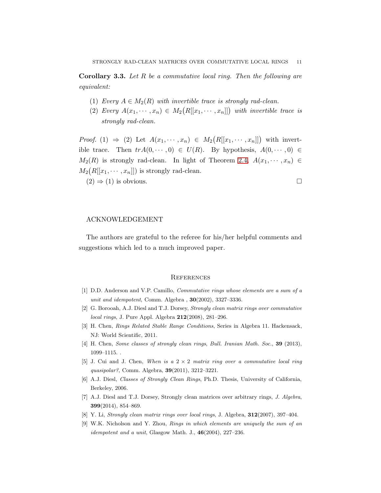Corollary 3.3. *Let* R *be a commutative local ring. Then the following are equivalent:*

- (1) *Every*  $A \in M_2(R)$  *with invertible trace is strongly rad-clean.*
- (2) *Every*  $A(x_1, \dots, x_n) \in M_2(R[[x_1, \dots, x_n]])$  *with invertible trace is strongly rad-clean.*

*Proof.* (1)  $\Rightarrow$  (2) Let  $A(x_1, \dots, x_n) \in M_2(R[[x_1, \dots, x_n]])$  with invertible trace. Then  $trA(0, \dots, 0) \in U(R)$ . By hypothesis,  $A(0, \dots, 0) \in$  $M_2(R)$  is strongly rad-clean. In light of Theorem [2.4,](#page-3-0)  $A(x_1, \dots, x_n) \in$  $M_2(R[[x_1, \cdots, x_n]])$  is strongly rad-clean.

 $(2) \Rightarrow (1)$  is obvious.

#### ACKNOWLEDGEMENT

The authors are grateful to the referee for his/her helpful comments and suggestions which led to a much improved paper.

#### **REFERENCES**

- [1] D.D. Anderson and V.P. Camillo, Commutative rings whose elements are a sum of a unit and idempotent, Comm. Algebra , **30**(2002), 3327-3336.
- [2] G. Borooah, A.J. Diesl and T.J. Dorsey, Strongly clean matrix rings over commutative local rings, J. Pure Appl. Algebra 212(2008), 281–296.
- [3] H. Chen, Rings Related Stable Range Conditions, Series in Algebra 11. Hackensack, NJ: World Scientific, 2011.
- [4] H. Chen, Some classes of strongly clean rings, Bull. Iranian Math. Soc., 39 (2013), 1099–1115. .
- [5] J. Cui and J. Chen, When is a  $2 \times 2$  matrix ring over a commutative local ring quasipolar?, Comm. Algebra, 39(2011), 3212–3221.
- [6] A.J. Diesl, Classes of Strongly Clean Rings, Ph.D. Thesis, University of California, Berkeley, 2006.
- [7] A.J. Diesl and T.J. Dorsey, Strongly clean matrices over arbitrary rings, J. Algebra, 399(2014), 854–869.
- [8] Y. Li, Strongly clean matrix rings over local rings, J. Algebra, 312(2007), 397-404.
- [9] W.K. Nicholson and Y. Zhou, Rings in which elements are uniquely the sum of an *idempotent and a unit*, Glasgow Math. J.,  $46(2004)$ ,  $227-236$ .